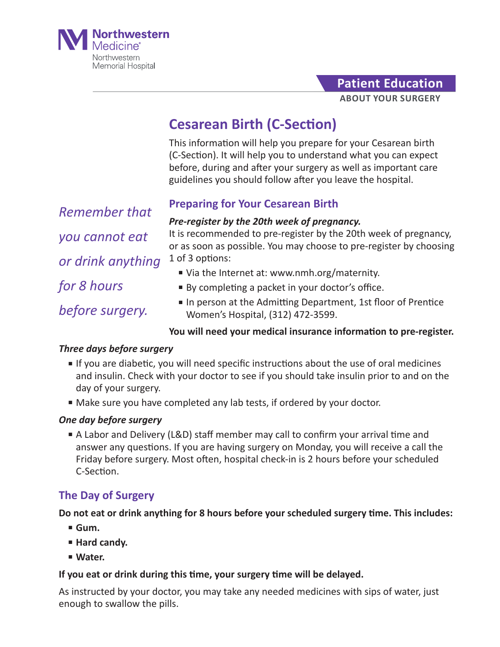

**Patient Education**

**ABOUT YOUR SURGERY**

# **Cesarean Birth (C-Section)**

This information will help you prepare for your Cesarean birth (C-Section). It will help you to understand what you can expect before, during and after your surgery as well as important care guidelines you should follow after you leave the hospital.

*Remember that you cannot eat or drink anything for 8 hours before surgery.*

## **Preparing for Your Cesarean Birth**

#### *Pre-register by the 20th week of pregnancy.*

It is recommended to pre-register by the 20th week of pregnancy, or as soon as possible. You may choose to pre-register by choosing 1 of 3 options:

- Via the Internet at: www.nmh.org/maternity.
- By completing a packet in your doctor's office.
- In person at the Admitting Department, 1st floor of Prentice Women's Hospital, (312) 472-3599.

## **You will need your medical insurance information to pre-register.**

## *Three days before surgery*

- If you are diabetic, you will need specific instructions about the use of oral medicines and insulin. Check with your doctor to see if you should take insulin prior to and on the day of your surgery.
- Make sure you have completed any lab tests, if ordered by your doctor.

## *One day before surgery*

■ A Labor and Delivery (L&D) staff member may call to confirm your arrival time and answer any questions. If you are having surgery on Monday, you will receive a call the Friday before surgery. Most often, hospital check-in is 2 hours before your scheduled C-Section.

# **The Day of Surgery**

**Do not eat or drink anything for 8 hours before your scheduled surgery time. This includes:**

- **Gum.**
- **Hard candy.**
- **Water.**

## **If you eat or drink during this time, your surgery time will be delayed.**

As instructed by your doctor, you may take any needed medicines with sips of water, just enough to swallow the pills.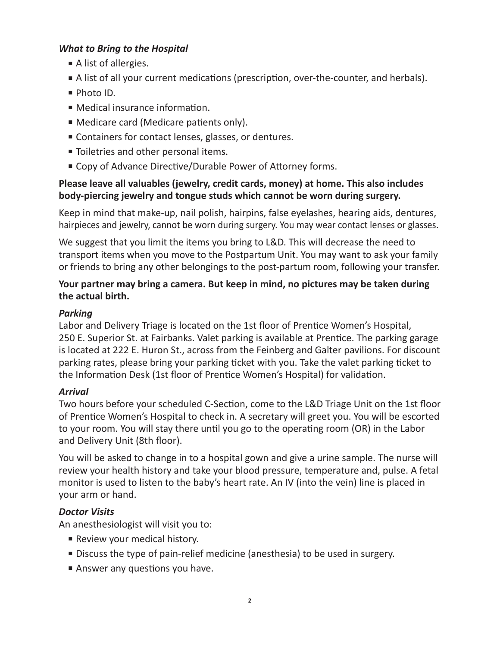## *What to Bring to the Hospital*

- A list of allergies.
- A list of all your current medications (prescription, over-the-counter, and herbals).
- Photo ID.
- Medical insurance information.
- Medicare card (Medicare patients only).
- Containers for contact lenses, glasses, or dentures.
- Toiletries and other personal items.
- Copy of Advance Directive/Durable Power of Attorney forms.

## **Please leave all valuables (jewelry, credit cards, money) at home. This also includes body-piercing jewelry and tongue studs which cannot be worn during surgery.**

Keep in mind that make-up, nail polish, hairpins, false eyelashes, hearing aids, dentures, hairpieces and jewelry, cannot be worn during surgery. You may wear contact lenses or glasses.

We suggest that you limit the items you bring to L&D. This will decrease the need to transport items when you move to the Postpartum Unit. You may want to ask your family or friends to bring any other belongings to the post-partum room, following your transfer.

## **Your partner may bring a camera. But keep in mind, no pictures may be taken during the actual birth.**

## *Parking*

Labor and Delivery Triage is located on the 1st floor of Prentice Women's Hospital, 250 E. Superior St. at Fairbanks. Valet parking is available at Prentice. The parking garage is located at 222 E. Huron St., across from the Feinberg and Galter pavilions. For discount parking rates, please bring your parking ticket with you. Take the valet parking ticket to the Information Desk (1st floor of Prentice Women's Hospital) for validation.

## *Arrival*

Two hours before your scheduled C-Section, come to the L&D Triage Unit on the 1st floor of Prentice Women's Hospital to check in. A secretary will greet you. You will be escorted to your room. You will stay there until you go to the operating room (OR) in the Labor and Delivery Unit (8th floor).

You will be asked to change in to a hospital gown and give a urine sample. The nurse will review your health history and take your blood pressure, temperature and, pulse. A fetal monitor is used to listen to the baby's heart rate. An IV (into the vein) line is placed in your arm or hand.

## *Doctor Visits*

An anesthesiologist will visit you to:

- Review your medical history.
- Discuss the type of pain-relief medicine (anesthesia) to be used in surgery.
- Answer any questions you have.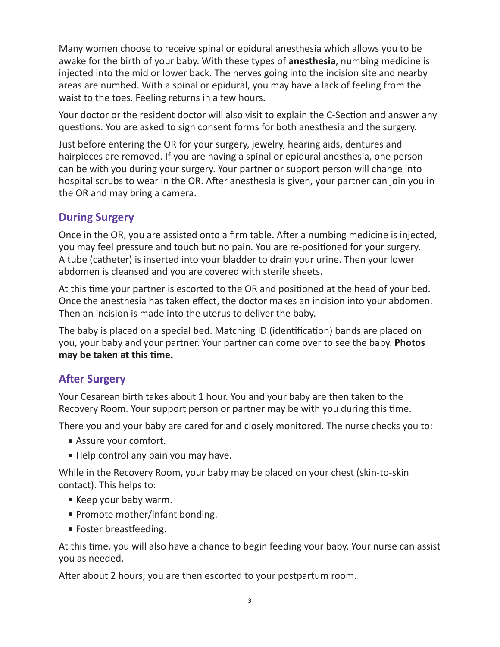Many women choose to receive spinal or epidural anesthesia which allows you to be awake for the birth of your baby. With these types of **anesthesia**, numbing medicine is injected into the mid or lower back. The nerves going into the incision site and nearby areas are numbed. With a spinal or epidural, you may have a lack of feeling from the waist to the toes. Feeling returns in a few hours.

Your doctor or the resident doctor will also visit to explain the C-Section and answer any questions. You are asked to sign consent forms for both anesthesia and the surgery.

Just before entering the OR for your surgery, jewelry, hearing aids, dentures and hairpieces are removed. If you are having a spinal or epidural anesthesia, one person can be with you during your surgery. Your partner or support person will change into hospital scrubs to wear in the OR. After anesthesia is given, your partner can join you in the OR and may bring a camera.

# **During Surgery**

Once in the OR, you are assisted onto a firm table. After a numbing medicine is injected, you may feel pressure and touch but no pain. You are re-positioned for your surgery. A tube (catheter) is inserted into your bladder to drain your urine. Then your lower abdomen is cleansed and you are covered with sterile sheets.

At this time your partner is escorted to the OR and positioned at the head of your bed. Once the anesthesia has taken effect, the doctor makes an incision into your abdomen. Then an incision is made into the uterus to deliver the baby.

The baby is placed on a special bed. Matching ID (identification) bands are placed on you, your baby and your partner. Your partner can come over to see the baby. **Photos may be taken at this time.**

# **After Surgery**

Your Cesarean birth takes about 1 hour. You and your baby are then taken to the Recovery Room. Your support person or partner may be with you during this time.

There you and your baby are cared for and closely monitored. The nurse checks you to:

- Assure your comfort.
- Help control any pain you may have.

While in the Recovery Room, your baby may be placed on your chest (skin-to-skin contact). This helps to:

- Keep your baby warm.
- Promote mother/infant bonding.
- Foster breastfeeding.

At this time, you will also have a chance to begin feeding your baby. Your nurse can assist you as needed.

After about 2 hours, you are then escorted to your postpartum room.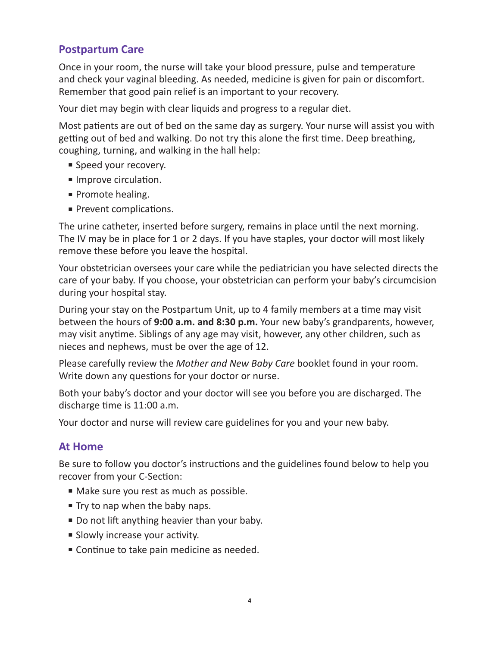# **Postpartum Care**

Once in your room, the nurse will take your blood pressure, pulse and temperature and check your vaginal bleeding. As needed, medicine is given for pain or discomfort. Remember that good pain relief is an important to your recovery.

Your diet may begin with clear liquids and progress to a regular diet.

Most patients are out of bed on the same day as surgery. Your nurse will assist you with getting out of bed and walking. Do not try this alone the first time. Deep breathing, coughing, turning, and walking in the hall help:

- Speed your recovery.
- Improve circulation.
- Promote healing.
- Prevent complications.

The urine catheter, inserted before surgery, remains in place until the next morning. The IV may be in place for 1 or 2 days. If you have staples, your doctor will most likely remove these before you leave the hospital.

Your obstetrician oversees your care while the pediatrician you have selected directs the care of your baby. If you choose, your obstetrician can perform your baby's circumcision during your hospital stay.

During your stay on the Postpartum Unit, up to 4 family members at a time may visit between the hours of **9:00 a.m. and 8:30 p.m.** Your new baby's grandparents, however, may visit anytime. Siblings of any age may visit, however, any other children, such as nieces and nephews, must be over the age of 12.

Please carefully review the *Mother and New Baby Care* booklet found in your room. Write down any questions for your doctor or nurse.

Both your baby's doctor and your doctor will see you before you are discharged. The discharge time is 11:00 a.m.

Your doctor and nurse will review care guidelines for you and your new baby.

## **At Home**

Be sure to follow you doctor's instructions and the guidelines found below to help you recover from your C-Section:

- Make sure you rest as much as possible.
- Try to nap when the baby naps.
- Do not lift anything heavier than your baby.
- Slowly increase your activity.
- Continue to take pain medicine as needed.